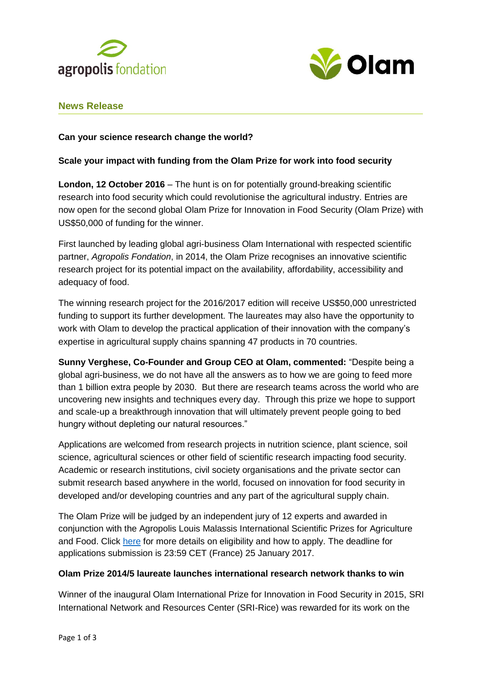



# **News Release**

# **Can your science research change the world?**

## **Scale your impact with funding from the Olam Prize for work into food security**

**London, 12 October 2016** – The hunt is on for potentially ground-breaking scientific research into food security which could revolutionise the agricultural industry. Entries are now open for the second global Olam Prize for Innovation in Food Security (Olam Prize) with US\$50,000 of funding for the winner.

First launched by leading global agri-business Olam International with respected scientific partner, *Agropolis Fondation*, in 2014, the Olam Prize recognises an innovative scientific research project for its potential impact on the availability, affordability, accessibility and adequacy of food.

The winning research project for the 2016/2017 edition will receive US\$50,000 unrestricted funding to support its further development. The laureates may also have the opportunity to work with Olam to develop the practical application of their innovation with the company's expertise in agricultural supply chains spanning 47 products in 70 countries.

**Sunny Verghese, Co-Founder and Group CEO at Olam, commented:** "Despite being a global agri-business, we do not have all the answers as to how we are going to feed more than 1 billion extra people by 2030. But there are research teams across the world who are uncovering new insights and techniques every day. Through this prize we hope to support and scale-up a breakthrough innovation that will ultimately prevent people going to bed hungry without depleting our natural resources."

Applications are welcomed from research projects in nutrition science, plant science, soil science, agricultural sciences or other field of scientific research impacting food security. Academic or research institutions, civil society organisations and the private sector can submit research based anywhere in the world, focused on innovation for food security in developed and/or developing countries and any part of the agricultural supply chain.

The Olam Prize will be judged by an independent jury of 12 experts and awarded in conjunction with the Agropolis Louis Malassis International Scientific Prizes for Agriculture and Food. Click [here](http://www.agropolis-fondation.fr/uk/our-actions/Malassis-Prize.html.) for more details on eligibility and how to apply. The deadline for applications submission is 23:59 CET (France) 25 January 2017.

## **Olam Prize 2014/5 laureate launches international research network thanks to win**

Winner of the inaugural Olam International Prize for Innovation in Food Security in 2015, [SRI](http://olamgroup.com/news/game-changing-rice-production-methodology-awarded-olam-prize-innovation-food-security/)  [International Network and Resources Center \(SRI-Rice\)](http://olamgroup.com/news/game-changing-rice-production-methodology-awarded-olam-prize-innovation-food-security/) was rewarded for its work on the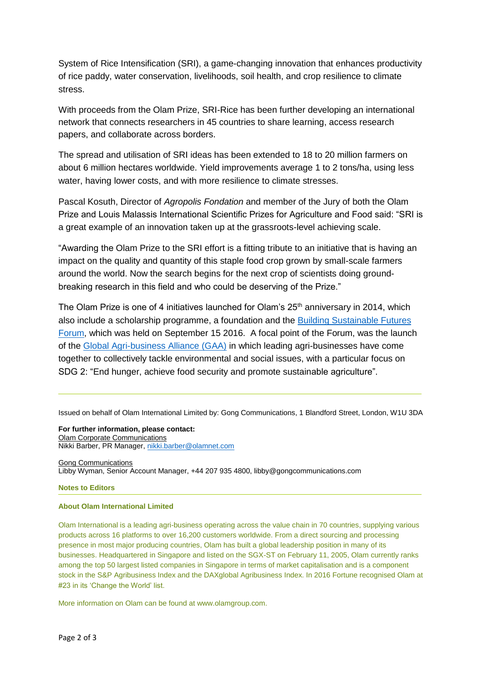System of Rice Intensification (SRI), a game-changing innovation that enhances productivity of rice paddy, water conservation, livelihoods, soil health, and crop resilience to climate stress.

With proceeds from the Olam Prize, SRI-Rice has been further developing an international network that connects researchers in 45 countries to share learning, access research papers, and collaborate across borders.

The spread and utilisation of SRI ideas has been extended to 18 to 20 million farmers on about 6 million hectares worldwide. Yield improvements average 1 to 2 tons/ha, using less water, having lower costs, and with more resilience to climate stresses.

Pascal Kosuth, Director of *Agropolis Fondation* and member of the Jury of both the Olam Prize and Louis Malassis International Scientific Prizes for Agriculture and Food said: "SRI is a great example of an innovation taken up at the grassroots-level achieving scale.

"Awarding the Olam Prize to the SRI effort is a fitting tribute to an initiative that is having an impact on the quality and quantity of this staple food crop grown by small-scale farmers around the world. Now the search begins for the next crop of scientists doing groundbreaking research in this field and who could be deserving of the Prize."

The Olam Prize is one of 4 initiatives launched for Olam's  $25<sup>th</sup>$  anniversary in 2014, which also include a scholarship programme, a foundation and the [Building Sustainable Futures](http://olamgroup.com/about-us/forum/building-sustainable-futures-forum-newsmedia-coverage/)  [Forum,](http://olamgroup.com/about-us/forum/building-sustainable-futures-forum-newsmedia-coverage/) which was held on September 15 2016. A focal point of the Forum, was the launch of the [Global Agri-business Alliance \(GAA\)](http://globalagribusinessalliance.com/launch-press-release/) in which leading agri-businesses have come together to collectively tackle environmental and social issues, with a particular focus on SDG 2: "End hunger, achieve food security and promote sustainable agriculture".

Issued on behalf of Olam International Limited by: Gong Communications, 1 Blandford Street, London, W1U 3DA

**For further information, please contact:** Olam Corporate Communications Nikki Barber, PR Manager[, nikki.barber@olamnet.com](mailto:nikki.barber@olamnet.com)

Gong Communications Libby Wyman, Senior Account Manager, +44 207 935 4800, libby@gongcommunications.com

### **Notes to Editors**

### **About Olam International Limited**

Olam International is a leading agri-business operating across the value chain in 70 countries, supplying various products across 16 platforms to over 16,200 customers worldwide. From a direct sourcing and processing presence in most major producing countries, Olam has built a global leadership position in many of its businesses. Headquartered in Singapore and listed on the SGX-ST on February 11, 2005, Olam currently ranks among the top 50 largest listed companies in Singapore in terms of market capitalisation and is a component stock in the S&P Agribusiness Index and the DAXglobal Agribusiness Index. In 2016 Fortune recognised Olam at #23 in its 'Change the World' list.

More information on Olam can be found at www.olamgroup.com.